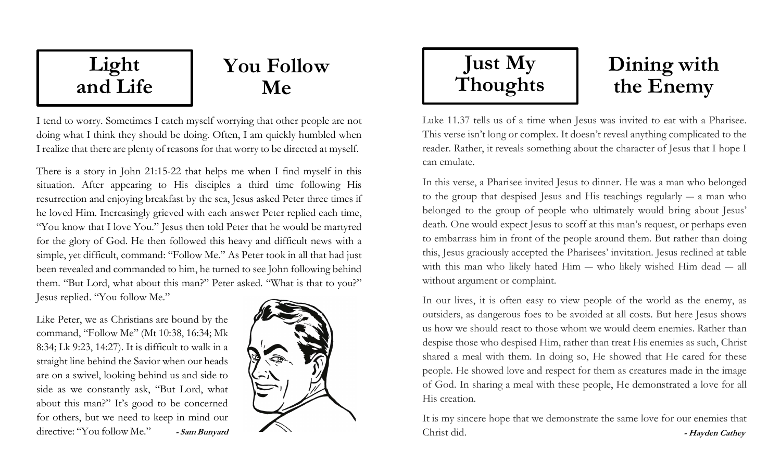## Light and Life

# You Follow Me

I tend to worry. Sometimes I catch myself worrying that other people are not doing what I think they should be doing. Often, I am quickly humbled when I realize that there are plenty of reasons for that worry to be directed at myself.

There is a story in John 21:15-22 that helps me when I find myself in this situation. After appearing to His disciples a third time following His resurrection and enjoying breakfast by the sea, Jesus asked Peter three times if he loved Him. Increasingly grieved with each answer Peter replied each time, "You know that I love You." Jesus then told Peter that he would be martyred for the glory of God. He then followed this heavy and difficult news with a simple, yet difficult, command: "Follow Me." As Peter took in all that had just been revealed and commanded to him, he turned to see John following behind them. "But Lord, what about this man?" Peter asked. "What is that to you?" Jesus replied. "You follow Me."

Like Peter, we as Christians are bound by the command, "Follow Me" (Mt 10:38, 16:34; Mk 8:34; Lk 9:23, 14:27). It is difficult to walk in a straight line behind the Savior when our heads are on a swivel, looking behind us and side to side as we constantly ask, "But Lord, what about this man?" It's good to be concerned for others, but we need to keep in mind our directive: "You follow Me." - Sam Bunyard





# Dining with the Enemy

Luke 11.37 tells us of a time when Jesus was invited to eat with a Pharisee. This verse isn't long or complex. It doesn't reveal anything complicated to the reader. Rather, it reveals something about the character of Jesus that I hope I can emulate.

In this verse, a Pharisee invited Jesus to dinner. He was a man who belonged to the group that despised Jesus and His teachings regularly ― a man who belonged to the group of people who ultimately would bring about Jesus' death. One would expect Jesus to scoff at this man's request, or perhaps even to embarrass him in front of the people around them. But rather than doing this, Jesus graciously accepted the Pharisees' invitation. Jesus reclined at table with this man who likely hated Him ― who likely wished Him dead ― all without argument or complaint.

In our lives, it is often easy to view people of the world as the enemy, as outsiders, as dangerous foes to be avoided at all costs. But here Jesus shows us how we should react to those whom we would deem enemies. Rather than despise those who despised Him, rather than treat His enemies as such, Christ shared a meal with them. In doing so, He showed that He cared for these people. He showed love and respect for them as creatures made in the image of God. In sharing a meal with these people, He demonstrated a love for all His creation.

It is my sincere hope that we demonstrate the same love for our enemies that Christ did. - Hayden Cathey